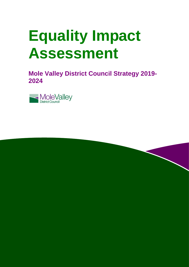# **Equality Impact Assessment**

**Mole Valley District Council Strategy 2019- 2024**



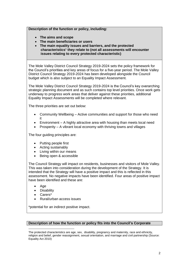# **Description of the function or policy, including:**

- **The aims and scope**
- **The main beneficiaries or users**
- **The main equality issues and barriers, and the protected characteristics**<sup>1</sup>**they relate to (not all assessments will encounter issues relating to every protected characteristic)**

 The Mole Valley District Council Strategy 2019-2024 sets the policy framework for the Council's priorities and key areas of focus for a five-year period. The Mole Valley District Council Strategy 2019-2024 has been developed alongside the Council budget which is also subject to an Equality Impact Assessment.

 The Mole Valley District Council Strategy 2019-2024 is the Council's key overarching strategic planning document and as such contains top level priorities. Once work gets underway to progress work areas that deliver against these priorities, additional Equality Impact Assessments will be completed where relevant.

The three priorities are set out below:

- Community Wellbeing Active communities and support for those who need it
- Environment A highly attractive area with housing than meets local need
- Prosperity A vibrant local economy with thriving towns and villages

The four quiding principles are:

- Putting people first
- Acting sustainably
- Living within our means
- Being open & accessible

 The Council Strategy will impact on residents, businesses and visitors of Mole Valley. This was taken into consideration during the development of the Strategy. It is intended that the Strategy will have a positive impact and this is reflected in this assessment. No negative impacts have been identified. Four areas of positive impact have been identified and these are:

- Age
- **Disability**
- Carers\*
- Rural/urban access issues

\*potential for an indirect positive impact.

# **Description of how the function or policy fits into the Council's Corporate**

l religion and belief, gender reassignment, sexual orientation, and marriage and civil partnership (Source: The protected characteristics are age, sex, disability, pregnancy and maternity, race and ethnicity, Equality Act 2010)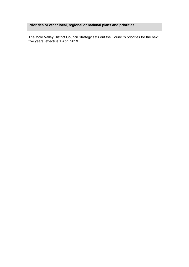# **Priorities or other local, regional or national plans and priorities**

 The Mole Valley District Council Strategy sets out the Council's priorities for the next five years, effective 1 April 2019.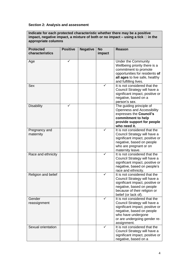# **Section 2: Analysis and assessment**

 **Indicate for each protected characteristic whether there may be a positive**  impact, negative impact, a mixture of both or no impact – using a tick **□** in the **appropriate columns** 

| <b>Protected</b>           | <b>Positive</b> | <b>Negative</b> | <b>No</b> | <b>Reason</b>                                                                                                                                                                                      |
|----------------------------|-----------------|-----------------|-----------|----------------------------------------------------------------------------------------------------------------------------------------------------------------------------------------------------|
| characteristics            |                 |                 | impact    |                                                                                                                                                                                                    |
| Age                        | ✓               |                 |           | <b>Under the Community</b><br>Wellbeing priority there is a<br>commitment to promote<br>opportunities for residents of<br>all ages to live safe, healthy<br>and fulfilling lives.                  |
| <b>Sex</b>                 |                 |                 |           | It is not considered that the<br>Council Strategy will have a<br>significant impact, positive or<br>negative, based on a<br>person's sex.                                                          |
| <b>Disability</b>          | ✓               |                 |           | The guiding principle of<br><b>Openness and Accessibility</b><br>expresses the Council's<br>commitment to help<br>provide support for people<br>who need it.                                       |
| Pregnancy and<br>maternity |                 |                 | ✓         | It is not considered that the<br>Council Strategy will have a<br>significant impact, positive or<br>negative, based on people<br>who are pregnant or on<br>maternity leave.                        |
| Race and ethnicity         |                 |                 | ✓         | It is not considered that the<br>Council Strategy will have a<br>significant impact, positive or<br>negative, based on people's<br>race and ethnicity.                                             |
| Religion and belief        |                 |                 |           | It is not considered that the<br>Council Strategy will have a<br>significant impact, positive or<br>negative, based on people<br>because of their religion or<br>belief (or lack of).              |
| Gender<br>reassignment     |                 |                 |           | It is not considered that the<br>Council Strategy will have a<br>significant impact, positive or<br>negative, based on people<br>who have undergone<br>or are undergoing gender re-<br>assignment. |
| Sexual orientation         |                 |                 | ✓         | It is not considered that the<br>Council Strategy will have a<br>significant impact, positive or<br>negative, based on a                                                                           |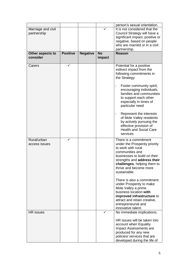|                                   |                 |                 |                     | person's sexual orientation.                                                                                                                                                                                                                                                                                                                                                                                                            |
|-----------------------------------|-----------------|-----------------|---------------------|-----------------------------------------------------------------------------------------------------------------------------------------------------------------------------------------------------------------------------------------------------------------------------------------------------------------------------------------------------------------------------------------------------------------------------------------|
| Marriage and civil<br>partnership |                 |                 |                     | It is not considered that the<br>Council Strategy will have a<br>significant impact, positive or<br>negative, based on people<br>who are married or in a civil<br>partnership.                                                                                                                                                                                                                                                          |
| Other aspects to<br>consider      | <b>Positive</b> | <b>Negative</b> | <b>No</b><br>impact | <b>Reason</b>                                                                                                                                                                                                                                                                                                                                                                                                                           |
| Carers                            | $\checkmark$    |                 |                     | Potential for a positive<br>indirect impact from the<br>following commitments in<br>the Strategy:<br>Foster community spirit,<br>encouraging individuals,<br>families and communities<br>to support each other<br>especially in times of<br>particular need                                                                                                                                                                             |
|                                   |                 |                 |                     | Represent the interests<br>of Mole Valley residents<br>by actively pursuing the<br>effective provision of<br><b>Health and Social Care</b><br>services                                                                                                                                                                                                                                                                                  |
| Rural/urban<br>access issues      | ✓               |                 |                     | There is a commitment<br>under the Prosperity priority<br>to work with rural<br>communities and<br>businesses to build on their<br>strengths and address their<br>challenges, helping them to<br>thrive and become more<br>sustainable.<br>There is also a commitment<br>under Prosperity to make<br>Mole Valley a prime<br>business location with<br>improved infrastructure to<br>attract and retain creative,<br>entrepreneurial and |
| <b>HR</b> issues                  |                 |                 | ✓                   | innovative talent.<br>No immediate implications.                                                                                                                                                                                                                                                                                                                                                                                        |
|                                   |                 |                 |                     | HR issues will be taken into<br>account when Equality<br>Impact Assessments are<br>produced for any new<br>policies/ services that are<br>developed during the life of                                                                                                                                                                                                                                                                  |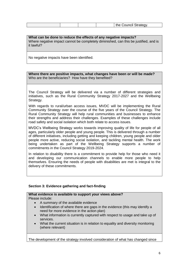| th.<br>}trateαv<br>ויממי יב<br>88 I GH |
|----------------------------------------|
|----------------------------------------|

 **What can be done to reduce the effects of any negative impacts?**  Where negative impact cannot be completely diminished, can this be justified, and is it lawful?

No negative impacts have been identified.

 **Where there are positive impacts, what changes have been or will be made?**  Who are the beneficiaries? How have they benefited?

 The Council Strategy will be delivered via a number of different strategies and initiatives, such as the Rural Community Strategy 2017-2027 and the Wellbeing Strategy.

 With regards to rural/urban access issues, MVDC will be implementing the Rural Community Strategy over the course of the five years of the Council Strategy. The Rural Community Strategy will help rural communities and businesses to enhance their strengths and address their challenges. Examples of these challenges include road safety and social isolation which both relate to access issues.

 MVDC's Wellbeing Strategy works towards improving quality of life for people of all ages, particularly older people and young people. This is delivered through a number of different initiatives, including getting and keeping children, young people and older people more active, reducing social isolation, and tackling mental health. The work being undertaken as part of the Wellbeing Strategy supports a number of commitments in the Council Strategy 2019-2024.

 In relation to disability there is a commitment to provide help for those who need it and developing our communication channels to enable more people to help themselves. Ensuring the needs of people with disabilities are met is integral to the delivery of these commitments.

# **Section 3: Evidence gathering and fact-finding**

# **What evidence is available to support your views above?**

Please include:

- A summary of the available evidence
- Identification of where there are gaps in the evidence (this may identify a need for more evidence in the action plan)
- What information is currently captured with respect to usage and take up of services.
- What the current situation is in relation to equality and diversity monitoring (where relevant)

The development of the strategy involved consideration of what has changed since